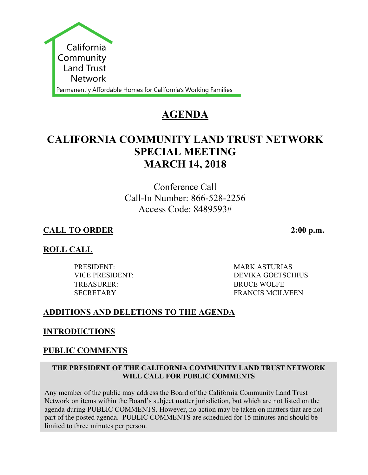

# **AGENDA**

# **CALIFORNIA COMMUNITY LAND TRUST NETWORK SPECIAL MEETING MARCH 14, 2018**

Conference Call Call-In Number: 866-528-2256 Access Code: 8489593#

# **CALL TO ORDER 2:00 p.m.**

# **ROLL CALL**

PRESIDENT: MARK ASTURIAS TREASURER: BRUCE WOLFE

VICE PRESIDENT: DEVIKA GOETSCHIUS SECRETARY FRANCIS MCILVEEN

## **ADDITIONS AND DELETIONS TO THE AGENDA**

## **INTRODUCTIONS**

## **PUBLIC COMMENTS**

#### **THE PRESIDENT OF THE CALIFORNIA COMMUNITY LAND TRUST NETWORK WILL CALL FOR PUBLIC COMMENTS**

Any member of the public may address the Board of the California Community Land Trust Network on items within the Board's subject matter jurisdiction, but which are not listed on the agenda during PUBLIC COMMENTS. However, no action may be taken on matters that are not part of the posted agenda. PUBLIC COMMENTS are scheduled for 15 minutes and should be limited to three minutes per person.